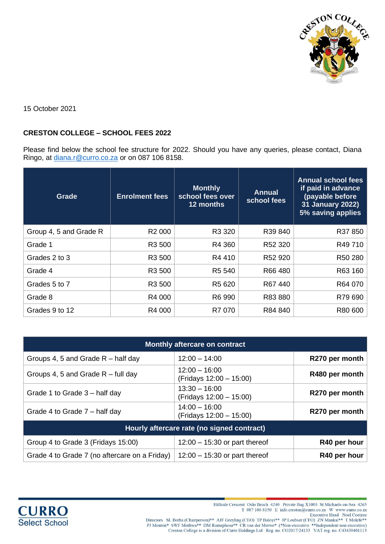

15 October 2021

## **CRESTON COLLEGE – SCHOOL FEES 2022**

Please find below the school fee structure for 2022. Should you have any queries, please contact, Diana Ringo, at [diana.r@curro.co.za](mailto:diana.r@curro.co.za) or on 087 106 8158.

| Grade                  | <b>Enrolment fees</b> | <b>Monthly</b><br>school fees over<br>12 months | <b>Annual</b><br>school fees | <b>Annual school fees</b><br>if paid in advance<br>(payable before<br>31 January 2022)<br>5% saving applies |
|------------------------|-----------------------|-------------------------------------------------|------------------------------|-------------------------------------------------------------------------------------------------------------|
| Group 4, 5 and Grade R | R <sub>2</sub> 000    | R3 320                                          | R39 840                      | R37850                                                                                                      |
| Grade 1                | R3 500                | R4 360                                          | R <sub>52</sub> 320          | R49 710                                                                                                     |
| Grades 2 to 3          | R3 500                | R4 410                                          | R <sub>52</sub> 920          | R50 280                                                                                                     |
| Grade 4                | R3 500                | R5 540                                          | R66 480                      | R63 160                                                                                                     |
| Grades 5 to 7          | R3 500                | R <sub>5</sub> 620                              | R67440                       | R64 070                                                                                                     |
| Grade 8                | R4 000                | R6 990                                          | R83880                       | R79 690                                                                                                     |
| Grades 9 to 12         | R4 000                | R7 070                                          | R84 840                      | R80 600                                                                                                     |

| Monthly aftercare on contract                 |                                            |                |  |
|-----------------------------------------------|--------------------------------------------|----------------|--|
| Groups 4, 5 and Grade $R$ – half day          | $12:00 - 14:00$                            | R270 per month |  |
| Groups 4, 5 and Grade $R$ – full day          | $12:00 - 16:00$<br>(Fridays 12:00 - 15:00) | R480 per month |  |
| Grade 1 to Grade 3 – half day                 | $13:30 - 16:00$<br>(Fridays 12:00 - 15:00) | R270 per month |  |
| Grade 4 to Grade 7 – half day                 | $14:00 - 16:00$<br>(Fridays 12:00 - 15:00) | R270 per month |  |
| Hourly aftercare rate (no signed contract)    |                                            |                |  |
| Group 4 to Grade 3 (Fridays 15:00)            | $12:00 - 15:30$ or part thereof            | R40 per hour   |  |
| Grade 4 to Grade 7 (no aftercare on a Friday) | $12:00 - 15:30$ or part thereof            | R40 per hour   |  |



Hillside Crescent Oslo Beach 4240 Private Bag X1003 St Michaels-on-Sea 4265 T 087 106 8150 E info.creston@curro.co.za W www.curro.co.za

Directors SL Botha (Chairperson)\*\* AJF Greyling (CEO) TP Baloyi\*\* JP Loubset (CFO) ZN Mankai\*\* T MoleCoetzee<br>PJ Mouton\* SWF Muthwa\*\* DM Ramaphosa\*\* CR van der Merwe\* (\*Non-executive \*\*Independent non-executive)<br>Creston Col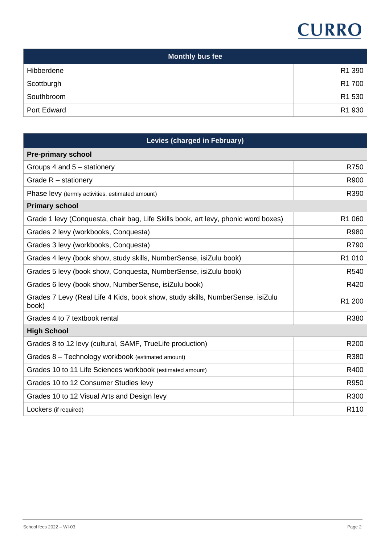# **CURRO**

| <b>Monthly bus fee</b> |                    |  |
|------------------------|--------------------|--|
| Hibberdene             | R <sub>1</sub> 390 |  |
| Scottburgh             | R <sub>1</sub> 700 |  |
| Southbroom             | R <sub>1</sub> 530 |  |
| Port Edward            | R1 930             |  |

| <b>Levies (charged in February)</b>                                                     |                  |  |
|-----------------------------------------------------------------------------------------|------------------|--|
| <b>Pre-primary school</b>                                                               |                  |  |
| Groups 4 and 5 - stationery                                                             | R750             |  |
| Grade $R$ – stationery                                                                  | R900             |  |
| Phase levy (termly activities, estimated amount)                                        | R390             |  |
| <b>Primary school</b>                                                                   |                  |  |
| Grade 1 levy (Conquesta, chair bag, Life Skills book, art levy, phonic word boxes)      | R1 060           |  |
| Grades 2 levy (workbooks, Conquesta)                                                    | R980             |  |
| Grades 3 levy (workbooks, Conquesta)                                                    | R790             |  |
| Grades 4 levy (book show, study skills, NumberSense, isiZulu book)                      | R1 010           |  |
| Grades 5 levy (book show, Conquesta, NumberSense, isiZulu book)                         | R540             |  |
| Grades 6 levy (book show, NumberSense, isiZulu book)                                    | R420             |  |
| Grades 7 Levy (Real Life 4 Kids, book show, study skills, NumberSense, isiZulu<br>book) | R1 200           |  |
| Grades 4 to 7 textbook rental                                                           | R380             |  |
| <b>High School</b>                                                                      |                  |  |
| Grades 8 to 12 levy (cultural, SAMF, TrueLife production)                               | R200             |  |
| Grades 8 - Technology workbook (estimated amount)                                       | R380             |  |
| Grades 10 to 11 Life Sciences workbook (estimated amount)                               | R400             |  |
| Grades 10 to 12 Consumer Studies levy                                                   | R950             |  |
| Grades 10 to 12 Visual Arts and Design levy                                             | R300             |  |
| Lockers (if required)                                                                   | R <sub>110</sub> |  |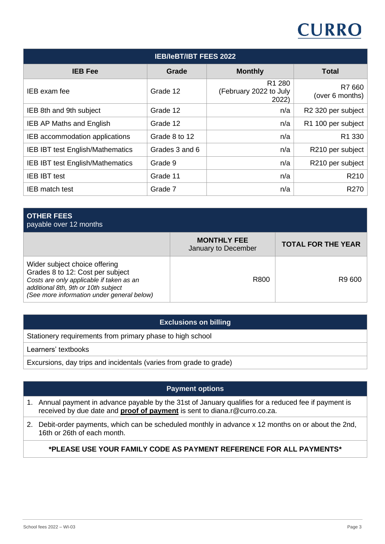# **CURRO**

| <b>IEB/IeBT/IBT FEES 2022</b>           |                |                                           |                           |
|-----------------------------------------|----------------|-------------------------------------------|---------------------------|
| <b>IEB Fee</b>                          | Grade          | <b>Monthly</b>                            | <b>Total</b>              |
| IEB exam fee                            | Grade 12       | R1 280<br>(February 2022 to July<br>2022) | R7 660<br>(over 6 months) |
| IEB 8th and 9th subject                 | Grade 12       | n/a                                       | R2 320 per subject        |
| <b>IEB AP Maths and English</b>         | Grade 12       | n/a                                       | R1 100 per subject        |
| IEB accommodation applications          | Grade 8 to 12  | n/a                                       | R <sub>1</sub> 330        |
| <b>IEB IBT test English/Mathematics</b> | Grades 3 and 6 | n/a                                       | R210 per subject          |
| <b>IEB IBT test English/Mathematics</b> | Grade 9        | n/a                                       | R210 per subject          |
| <b>IEB IBT test</b>                     | Grade 11       | n/a                                       | R210                      |
| IEB match test                          | Grade 7        | n/a                                       | R270                      |

| <b>OTHER FEES</b><br>payable over 12 months                                                                                                                                                        |                                           |                           |
|----------------------------------------------------------------------------------------------------------------------------------------------------------------------------------------------------|-------------------------------------------|---------------------------|
|                                                                                                                                                                                                    | <b>MONTHLY FEE</b><br>January to December | <b>TOTAL FOR THE YEAR</b> |
| Wider subject choice offering<br>Grades 8 to 12: Cost per subject<br>Costs are only applicable if taken as an<br>additional 8th, 9th or 10th subject<br>(See more information under general below) | R800                                      | R9 600                    |

## **Exclusions on billing**

Stationery requirements from primary phase to high school

Learners' textbooks

Excursions, day trips and incidentals (varies from grade to grade)

## **Payment options**

- 1. Annual payment in advance payable by the 31st of January qualifies for a reduced fee if payment is received by due date and **proof of payment** is sent to diana.r@curro.co.za.
- 2. Debit-order payments, which can be scheduled monthly in advance x 12 months on or about the 2nd, 16th or 26th of each month.

## **\*PLEASE USE YOUR FAMILY CODE AS PAYMENT REFERENCE FOR ALL PAYMENTS\***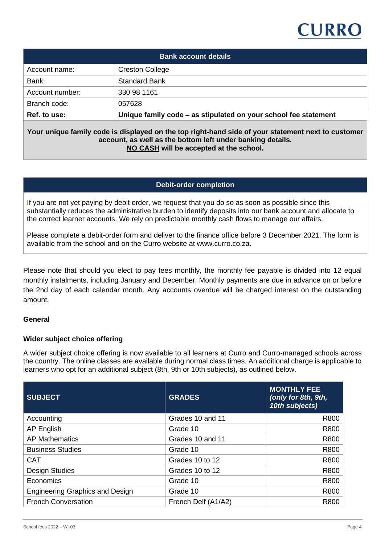## **CURRO**

| <b>Bank account details</b> |                                                                 |  |  |
|-----------------------------|-----------------------------------------------------------------|--|--|
| Account name:               | <b>Creston College</b>                                          |  |  |
| Bank:                       | <b>Standard Bank</b>                                            |  |  |
| Account number:             | 330 98 1161                                                     |  |  |
| Branch code:                | 057628                                                          |  |  |
| Ref. to use:                | Unique family code – as stipulated on your school fee statement |  |  |

**Your unique family code is displayed on the top right-hand side of your statement next to customer account, as well as the bottom left under banking details. NO CASH will be accepted at the school.**

#### **Debit-order completion**

If you are not yet paying by debit order, we request that you do so as soon as possible since this substantially reduces the administrative burden to identify deposits into our bank account and allocate to the correct learner accounts. We rely on predictable monthly cash flows to manage our affairs.

Please complete a debit-order form and deliver to the finance office before 3 December 2021. The form is available from the school and on the Curro website at www.curro.co.za.

Please note that should you elect to pay fees monthly, the monthly fee payable is divided into 12 equal monthly instalments, including January and December. Monthly payments are due in advance on or before the 2nd day of each calendar month. Any accounts overdue will be charged interest on the outstanding amount.

#### **General**

#### **Wider subject choice offering**

A wider subject choice offering is now available to all learners at Curro and Curro-managed schools across the country. The online classes are available during normal class times. An additional charge is applicable to learners who opt for an additional subject (8th, 9th or 10th subjects), as outlined below.

| <b>SUBJECT</b>                         | <b>GRADES</b>       | <b>MONTHLY FEE</b><br>(only for 8th, 9th,<br>10th subjects) |
|----------------------------------------|---------------------|-------------------------------------------------------------|
| Accounting                             | Grades 10 and 11    | R800                                                        |
| <b>AP English</b>                      | Grade 10            | R800                                                        |
| <b>AP Mathematics</b>                  | Grades 10 and 11    | R800                                                        |
| <b>Business Studies</b>                | Grade 10            | R800                                                        |
| <b>CAT</b>                             | Grades 10 to 12     | R800                                                        |
| <b>Design Studies</b>                  | Grades 10 to 12     | R800                                                        |
| Economics                              | Grade 10            | R800                                                        |
| <b>Engineering Graphics and Design</b> | Grade 10            | R800                                                        |
| <b>French Conversation</b>             | French Delf (A1/A2) | R800                                                        |